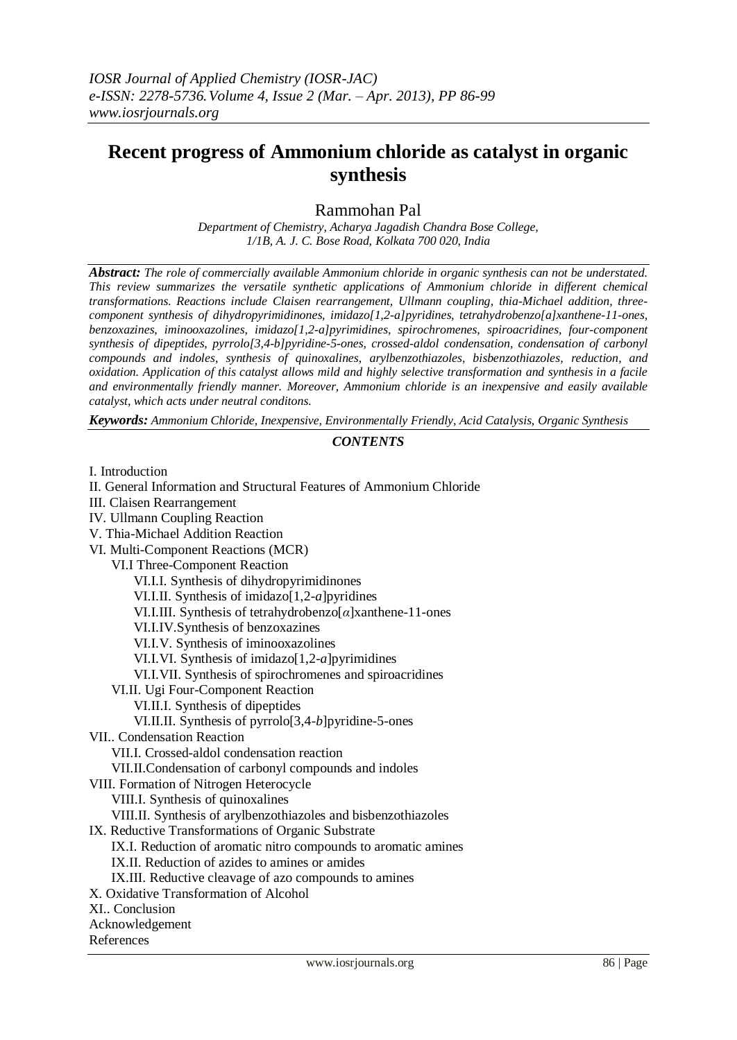# **Recent progress of Ammonium chloride as catalyst in organic synthesis**

Rammohan Pal

*Department of Chemistry, Acharya Jagadish Chandra Bose College, 1/1B, A. J. C. Bose Road, Kolkata 700 020, India*

*Abstract: The role of commercially available Ammonium chloride in organic synthesis can not be understated. This review summarizes the versatile synthetic applications of Ammonium chloride in different chemical transformations. Reactions include Claisen rearrangement, Ullmann coupling, thia-Michael addition, threecomponent synthesis of dihydropyrimidinones, imidazo[1,2-a]pyridines, tetrahydrobenzo[a]xanthene-11-ones, benzoxazines, iminooxazolines, imidazo[1,2-a]pyrimidines, spirochromenes, spiroacridines, four-component synthesis of dipeptides, pyrrolo[3,4-b]pyridine-5-ones, crossed-aldol condensation, condensation of carbonyl compounds and indoles, synthesis of quinoxalines, arylbenzothiazoles, bisbenzothiazoles, reduction, and oxidation. Application of this catalyst allows mild and highly selective transformation and synthesis in a facile and environmentally friendly manner. Moreover, Ammonium chloride is an inexpensive and easily available catalyst, which acts under neutral conditons.*

*Keywords: Ammonium Chloride, Inexpensive, Environmentally Friendly, Acid Catalysis, Organic Synthesis*

# *CONTENTS*

| II. General Information and Structural Features of Ammonium Chloride |
|----------------------------------------------------------------------|
| III. Claisen Rearrangement                                           |
| IV. Ullmann Coupling Reaction                                        |
| V. Thia-Michael Addition Reaction                                    |
| VI. Multi-Component Reactions (MCR)                                  |
| VI.I Three-Component Reaction                                        |
| VI.I.I. Synthesis of dihydropyrimidinones                            |
| VI.I.II. Synthesis of imidazo $[1,2-a]$ pyridines                    |
| VI.I.III. Synthesis of tetrahydrobenzo $[\alpha]$ xanthene-11-ones   |
| VI.I.IV.Synthesis of benzoxazines                                    |
| VI.I.V. Synthesis of iminooxazolines                                 |
| VI.I.VI. Synthesis of imidazo $[1,2-a]$ pyrimidines                  |
| VI.I.VII. Synthesis of spirochromenes and spiroacridines             |
| VI.II. Ugi Four-Component Reaction                                   |
| VI.II.I. Synthesis of dipeptides                                     |
| VI.II.II. Synthesis of pyrrolo[3,4-b]pyridine-5-ones                 |
| VII Condensation Reaction                                            |
| VII.I. Crossed-aldol condensation reaction                           |
| VII.II.Condensation of carbonyl compounds and indoles                |
| VIII. Formation of Nitrogen Heterocycle                              |
| VIII.I. Synthesis of quinoxalines                                    |
| VIII.II. Synthesis of arylbenzothiazoles and bisbenzothiazoles       |
| IX. Reductive Transformations of Organic Substrate                   |
| IX.I. Reduction of aromatic nitro compounds to aromatic amines       |
| IX.II. Reduction of azides to amines or amides                       |
| IX.III. Reductive cleavage of azo compounds to amines                |
| X. Oxidative Transformation of Alcohol                               |
| XI Conclusion                                                        |
| Acknowledgement                                                      |
| References                                                           |
|                                                                      |

I. Introduction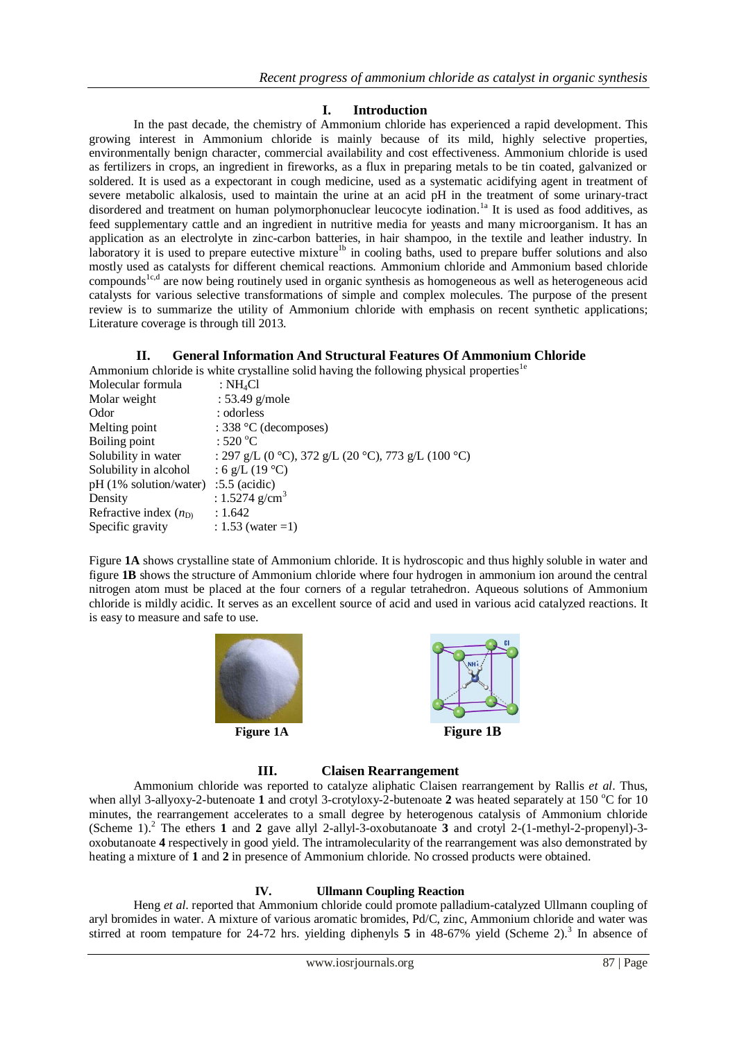# **I. Introduction**

In the past decade, the chemistry of Ammonium chloride has experienced a rapid development. This growing interest in Ammonium chloride is mainly because of its mild, highly selective properties, environmentally benign character, commercial availability and cost effectiveness. Ammonium chloride is used as fertilizers in crops, an ingredient in fireworks, as a flux in preparing metals to be tin coated, galvanized or soldered. It is used as a expectorant in cough medicine, used as a systematic acidifying agent in treatment of severe metabolic alkalosis, used to maintain the urine at an acid pH in the treatment of some urinary-tract disordered and treatment on human polymorphonuclear leucocyte iodination.<sup>1a</sup> It is used as food additives, as feed supplementary cattle and an ingredient in nutritive media for yeasts and many microorganism. It has an application as an electrolyte in zinc-carbon batteries, in hair shampoo, in the textile and leather industry. In laboratory it is used to prepare eutective mixture<sup>1b</sup> in cooling baths, used to prepare buffer solutions and also mostly used as catalysts for different chemical reactions. Ammonium chloride and Ammonium based chloride compounds<sup>1c,d</sup> are now being routinely used in organic synthesis as homogeneous as well as heterogeneous acid catalysts for various selective transformations of simple and complex molecules. The purpose of the present review is to summarize the utility of Ammonium chloride with emphasis on recent synthetic applications; Literature coverage is through till 2013.

# **II. General Information And Structural Features Of Ammonium Chloride**

Ammonium chloride is white crystalline solid having the following physical properties<sup>1e</sup>

| : $NH_4Cl$                                          |
|-----------------------------------------------------|
| $: 53.49$ g/mole                                    |
| : odorless                                          |
| : 338 $°C$ (decomposes)                             |
| : $520^{\circ}$ C                                   |
| : 297 g/L (0 °C), 372 g/L (20 °C), 773 g/L (100 °C) |
| : 6 g/L (19 °C)                                     |
| $pH(1\% \text{ solution/water})$<br>$:5.5$ (acidic) |
| : $1.5274$ g/cm <sup>3</sup>                        |
| : 1.642                                             |
| : 1.53 (water = 1)                                  |
|                                                     |

Figure **1A** shows crystalline state of Ammonium chloride. It is hydroscopic and thus highly soluble in water and figure **1B** shows the structure of Ammonium chloride where four hydrogen in ammonium ion around the central nitrogen atom must be placed at the four corners of a regular tetrahedron. Aqueous solutions of Ammonium chloride is mildly acidic. It serves as an excellent source of acid and used in various acid catalyzed reactions. It is easy to measure and safe to use.





## **III. Claisen Rearrangement**

Ammonium chloride was reported to catalyze aliphatic Claisen rearrangement by Rallis *et al*. Thus, when allyl 3-allyoxy-2-butenoate 1 and crotyl 3-crotyloxy-2-butenoate 2 was heated separately at 150 °C for 10 minutes, the rearrangement accelerates to a small degree by heterogenous catalysis of Ammonium chloride (Scheme 1). <sup>2</sup> The ethers **1** and **2** gave allyl 2-allyl-3-oxobutanoate **3** and crotyl 2-(1-methyl-2-propenyl)-3 oxobutanoate **4** respectively in good yield. The intramolecularity of the rearrangement was also demonstrated by heating a mixture of **1** and **2** in presence of Ammonium chloride. No crossed products were obtained.

## **IV. Ullmann Coupling Reaction**

Heng *et al*. reported that Ammonium chloride could promote palladium-catalyzed Ullmann coupling of aryl bromides in water. A mixture of various aromatic bromides, Pd/C, zinc, Ammonium chloride and water was stirred at room tempature for 24-72 hrs. yielding diphenyls  $5$  in 48-67% yield (Scheme 2).<sup>3</sup> In absence of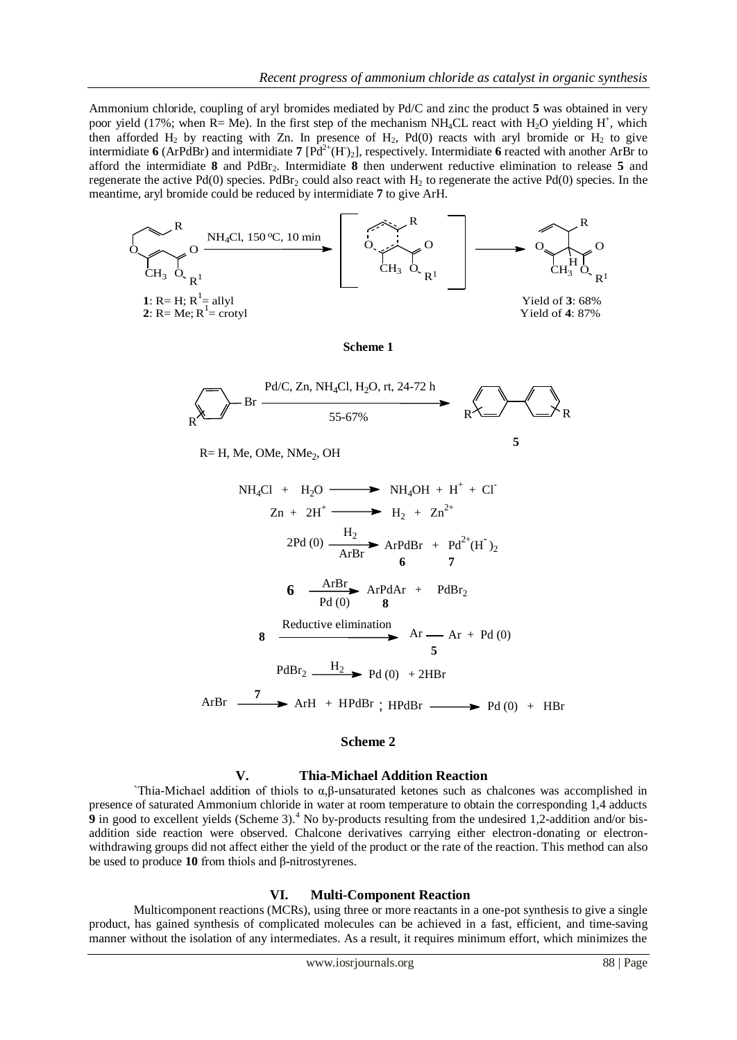Ammonium chloride, coupling of aryl bromides mediated by Pd/C and zinc the product **5** was obtained in very poor yield (17%; when  $R = Me$ ). In the first step of the mechanism NH<sub>4</sub>CL react with H<sub>2</sub>O yielding H<sup>+</sup>, which then afforded  $H_2$  by reacting with Zn. In presence of  $H_2$ , Pd(0) reacts with aryl bromide or  $H_2$  to give intermidiate 6 (ArPdBr) and intermidiate 7  $[Pd^{2+}(H)_2]$ , respectively. Intermidiate 6 reacted with another ArBr to afford the intermidiate **8** and PdBr2. Intermidiate **8** then underwent reductive elimination to release **5** and regenerate the active Pd(0) species. PdBr<sub>2</sub> could also react with  $H_2$  to regenerate the active Pd(0) species. In the meantime, aryl bromide could be reduced by intermidiate **7** to give ArH.



#### **Scheme 2**

#### **V. Thia-Michael Addition Reaction**

`Thia-Michael addition of thiols to α,β-unsaturated ketones such as chalcones was accomplished in presence of saturated Ammonium chloride in water at room temperature to obtain the corresponding 1,4 adducts **9** in good to excellent yields (Scheme 3).<sup>4</sup> No by-products resulting from the undesired 1,2-addition and/or bisaddition side reaction were observed. Chalcone derivatives carrying either electron-donating or electronwithdrawing groups did not affect either the yield of the product or the rate of the reaction. This method can also be used to produce **10** from thiols and β**-**nitrostyrenes.

## **VI. Multi-Component Reaction**

Multicomponent reactions (MCRs), using three or more reactants in a one-pot synthesis to give a single product, has gained synthesis of complicated molecules can be achieved in a fast, efficient, and time-saving manner without the isolation of any intermediates. As a result, it requires minimum effort, which minimizes the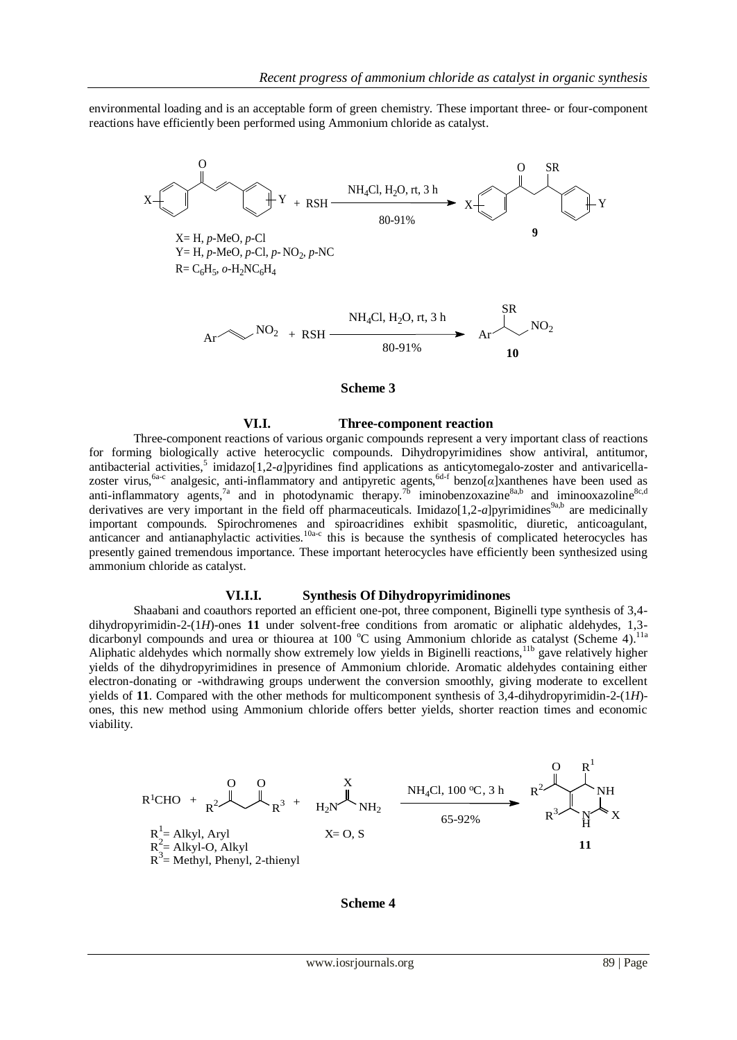environmental loading and is an acceptable form of green chemistry. These important three- or four-component reactions have efficiently been performed using Ammonium chloride as catalyst.



#### **Scheme 3**

## **VI.I. Three-component reaction**

Three-component reactions of various organic compounds represent a very important class of reactions for forming biologically active heterocyclic compounds. Dihydropyrimidines show antiviral, antitumor, antibacterial activities,<sup>5</sup> imidazo[1,2-*a*]pyridines find applications as anticytomegalo-zoster and antivaricellazoster virus,<sup>6a-c</sup> analgesic, anti-inflammatory and antipyretic agents,<sup>6d-f</sup> benzo[*α*]xanthenes have been used as anti-inflammatory agents,<sup>7a</sup> and in photodynamic therapy.<sup>76</sup> iminobenzoxazine<sup>8a,b</sup> and iminooxazoline<sup>8c,d</sup> derivatives are very important in the field off pharmaceuticals. Imidazo $[1,2-a]$ pyrimidines<sup>9a,b</sup> are medicinally important compounds. Spirochromenes and spiroacridines exhibit spasmolitic, diuretic, anticoagulant, anticancer and antianaphylactic activities.<sup>10a-c</sup> this is because the synthesis of complicated heterocycles has presently gained tremendous importance. These important heterocycles have efficiently been synthesized using ammonium chloride as catalyst.

#### **VI.I.I. Synthesis Of Dihydropyrimidinones**

Shaabani and coauthors reported an efficient one-pot, three component, Biginelli type synthesis of 3,4 dihydropyrimidin-2-(1*H*)-ones **11** under solvent-free conditions from aromatic or aliphatic aldehydes, 1,3 dicarbonyl compounds and urea or thiourea at 100 °C using Ammonium chloride as catalyst (Scheme 4).<sup>11a</sup> Aliphatic aldehydes which normally show extremely low yields in Biginelli reactions,<sup>11b</sup> gave relatively higher yields of the dihydropyrimidines in presence of Ammonium chloride. Aromatic aldehydes containing either electron-donating or -withdrawing groups underwent the conversion smoothly, giving moderate to excellent yields of **11**. Compared with the other methods for multicomponent synthesis of 3,4-dihydropyrimidin-2-(1*H*) ones, this new method using Ammonium chloride offers better yields, shorter reaction times and economic viability.

$$
R^{1}CHO + \n\begin{array}{ccc}\n & 0 & 0 & \\
 & R^{2} & \n\end{array}\n\begin{array}{ccc}\n & X & \\
 & R^{3} + \n\end{array}\n\begin{array}{ccc}\n & \n\end{array}\n\begin{array}{ccc}\n & \n\end{array}\n\begin{array}{ccc}\n & \n\end{array}\n\begin{array}{ccc}\n & \n\end{array}\n\begin{array}{ccc}\n & \n\end{array}\n\begin{array}{ccc}\n & \n\end{array}\n\begin{array}{ccc}\n & \n\end{array}\n\begin{array}{ccc}\n & \n\end{array}\n\begin{array}{ccc}\n & \n\end{array}\n\begin{array}{ccc}\n & \n\end{array}\n\begin{array}{ccc}\n & \n\end{array}\n\begin{array}{ccc}\n & \n\end{array}\n\begin{array}{ccc}\n & \n\end{array}\n\begin{array}{ccc}\n & \n\end{array}\n\begin{array}{ccc}\n & \n\end{array}\n\begin{array}{ccc}\n & \n\end{array}\n\begin{array}{ccc}\n & \n\end{array}\n\begin{array}{ccc}\n & \n\end{array}\n\begin{array}{ccc}\n & \n\end{array}\n\begin{array}{ccc}\n & \n\end{array}\n\begin{array}{ccc}\n & \n\end{array}\n\begin{array}{ccc}\n & \n\end{array}\n\begin{array}{ccc}\n & \n\end{array}\n\begin{array}{ccc}\n & \n\end{array}\n\begin{array}{ccc}\n & \n\end{array}\n\begin{array}{ccc}\n & \n\end{array}\n\begin{array}{ccc}\n & \n\end{array}\n\begin{array}{ccc}\n & \n\end{array}\n\begin{array}{ccc}\n & \n\end{array}\n\begin{array}{ccc}\n & \n\end{array}\n\begin{array}{ccc}\n & \n\end{array}\n\begin{array}{ccc}\n & \n\end{array}\n\begin{array}{ccc}\n & \n\end{array}\n\begin{array}{ccc}\n & \n\end{array}\n\begin{array}{ccc}\n & \n\end{array}\n\begin{array}{ccc}\n & \n\
$$

**Scheme 4**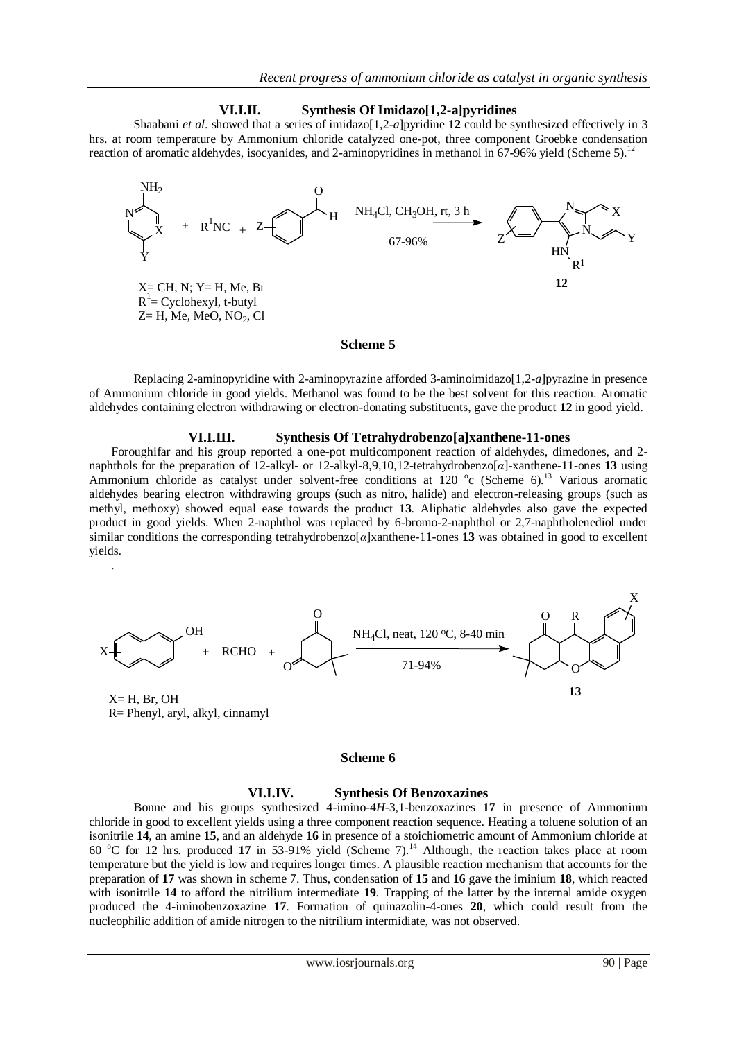## **VI.I.II. Synthesis Of Imidazo[1,2-a]pyridines**

Shaabani *et al.* showed that a series of imidazo[1,2-*a*]pyridine 12 could be synthesized effectively in 3 hrs. at room temperature by Ammonium chloride catalyzed one-pot, three component Groebke condensation reaction of aromatic aldehydes, isocyanides, and 2-aminopyridines in methanol in 67-96% yield (Scheme 5).<sup>12</sup>



## **Scheme 5**

Replacing 2-aminopyridine with 2-aminopyrazine afforded 3-aminoimidazo[1,2-*a*]pyrazine in presence of Ammonium chloride in good yields. Methanol was found to be the best solvent for this reaction. Aromatic aldehydes containing electron withdrawing or electron-donating substituents, gave the product **12** in good yield.

## **VI.I.III. Synthesis Of Tetrahydrobenzo[a]xanthene-11-ones**

Foroughifar and his group reported a one-pot multicomponent reaction of aldehydes, dimedones, and 2 naphthols for the preparation of 12-alkyl- or 12-alkyl-8,9,10,12-tetrahydrobenzo[*α*]-xanthene-11-ones **13** using Ammonium chloride as catalyst under solvent-free conditions at 120 °c (Scheme 6).<sup>13</sup> Various aromatic aldehydes bearing electron withdrawing groups (such as nitro, halide) and electron-releasing groups (such as methyl, methoxy) showed equal ease towards the product **13**. Aliphatic aldehydes also gave the expected product in good yields. When 2-naphthol was replaced by 6-bromo-2-naphthol or 2,7-naphtholenediol under similar conditions the corresponding tetrahydrobenzo[*α*]xanthene-11-ones **13** was obtained in good to excellent yields.



R= Phenyl, aryl, alkyl, cinnamyl

.

#### **Scheme 6**

#### **VI.I.IV. Synthesis Of Benzoxazines**

Bonne and his groups synthesized 4-imino-4*H*-3,1-benzoxazines **17** in presence of Ammonium chloride in good to excellent yields using a three component reaction sequence. Heating a toluene solution of an isonitrile **14**, an amine **15**, and an aldehyde **16** in presence of a stoichiometric amount of Ammonium chloride at 60 °C for 12 hrs. produced 17 in 53-91% yield (Scheme 7).<sup>14</sup> Although, the reaction takes place at room temperature but the yield is low and requires longer times. A plausible reaction mechanism that accounts for the preparation of **17** was shown in scheme 7. Thus, condensation of **15** and **16** gave the iminium **18**, which reacted with isonitrile 14 to afford the nitrilium intermediate 19. Trapping of the latter by the internal amide oxygen produced the 4-iminobenzoxazine **17**. Formation of quinazolin-4-ones **20**, which could result from the nucleophilic addition of amide nitrogen to the nitrilium intermidiate, was not observed.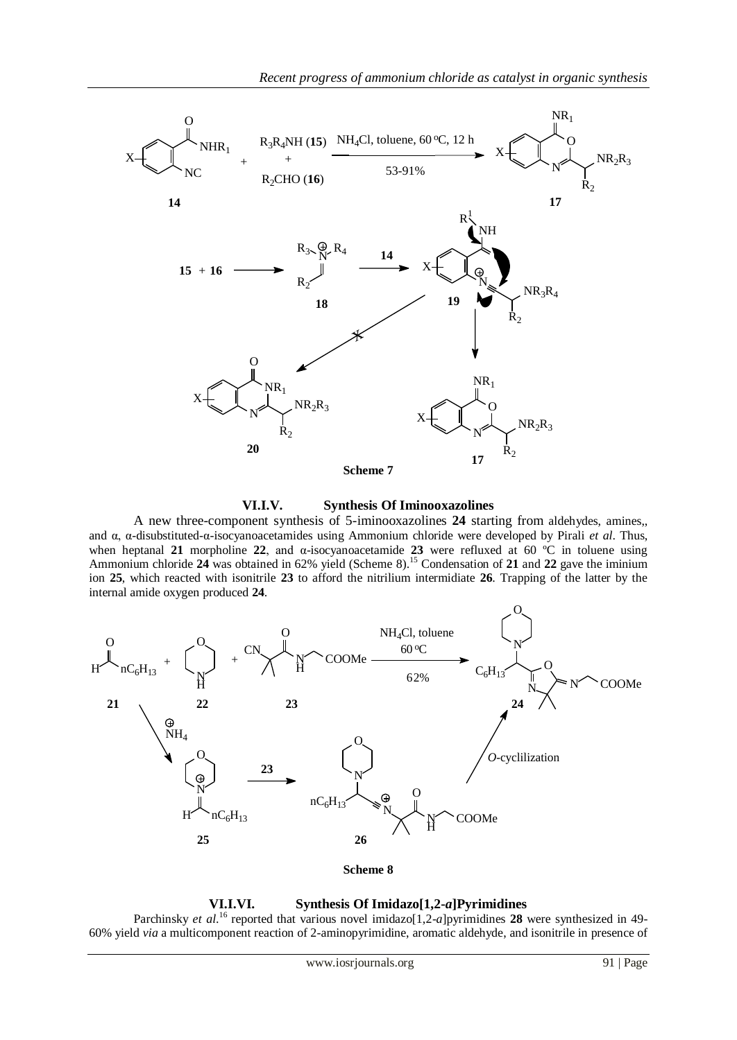

**VI.I.V. Synthesis Of Iminooxazolines**

A new three-component synthesis of 5-iminooxazolines **24** starting from aldehydes, amines,, and α, α-disubstituted-α-isocyanoacetamides using Ammonium chloride were developed by Pirali *et al*. Thus, when heptanal **21** morpholine **22**, and α-isocyanoacetamide **23** were refluxed at 60 ºC in toluene using Ammonium chloride 24 was obtained in 62% yield (Scheme 8).<sup>15</sup> Condensation of 21 and 22 gave the iminium ion **25**, which reacted with isonitrile **23** to afford the nitrilium intermidiate **26**. Trapping of the latter by the internal amide oxygen produced **24**.



**Scheme 8**

## **VI.I.VI. Synthesis Of Imidazo[1,2-***a***]Pyrimidines**

Parchinsky *et al.*<sup>16</sup> reported that various novel imidazo[1,2-*a*]pyrimidines 28 were synthesized in 49-60% yield *via* a multicomponent reaction of 2-aminopyrimidine, aromatic aldehyde, and isonitrile in presence of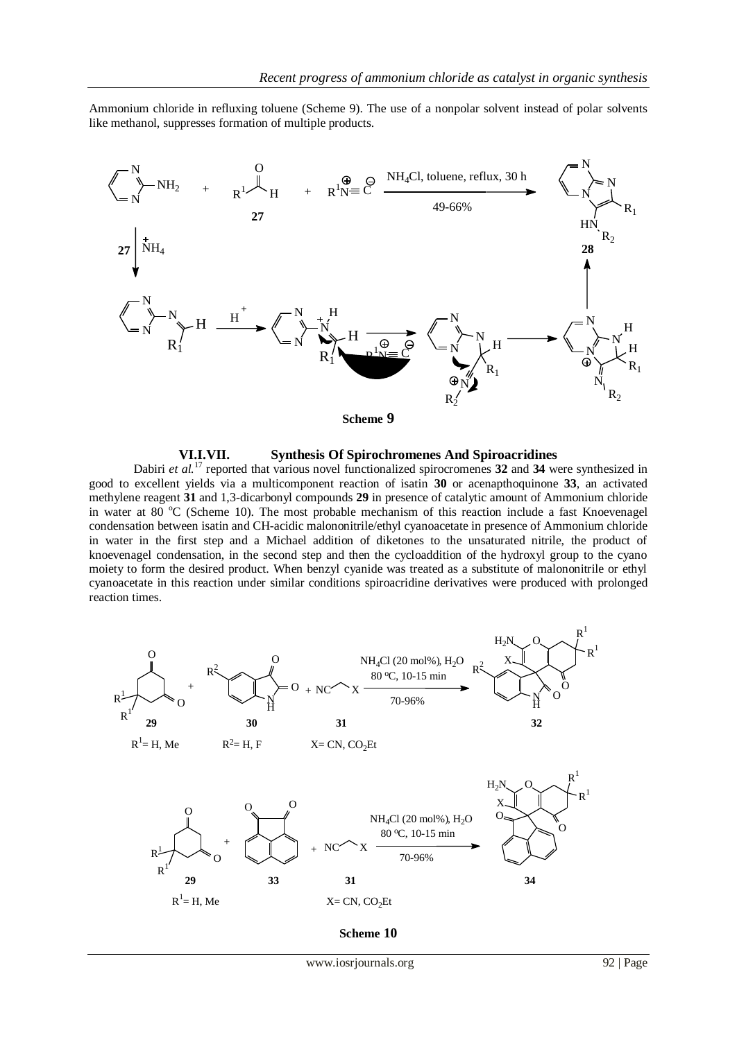Ammonium chloride in refluxing toluene (Scheme 9). The use of a nonpolar solvent instead of polar solvents like methanol, suppresses formation of multiple products.



## **VI.I.VII. Synthesis Of Spirochromenes And Spiroacridines**

Dabiri *et al.*<sup>17</sup> reported that various novel functionalized spirocromenes 32 and 34 were synthesized in good to excellent yields via a multicomponent reaction of isatin **30** or acenapthoquinone **33**, an activated methylene reagent **31** and 1,3-dicarbonyl compounds **29** in presence of catalytic amount of Ammonium chloride in water at 80  $^{\circ}$ C (Scheme 10). The most probable mechanism of this reaction include a fast Knoevenagel condensation between isatin and CH-acidic malononitrile/ethyl cyanoacetate in presence of Ammonium chloride in water in the first step and a Michael addition of diketones to the unsaturated nitrile, the product of knoevenagel condensation, in the second step and then the cycloaddition of the hydroxyl group to the cyano moiety to form the desired product. When benzyl cyanide was treated as a substitute of malononitrile or ethyl cyanoacetate in this reaction under similar conditions spiroacridine derivatives were produced with prolonged reaction times.

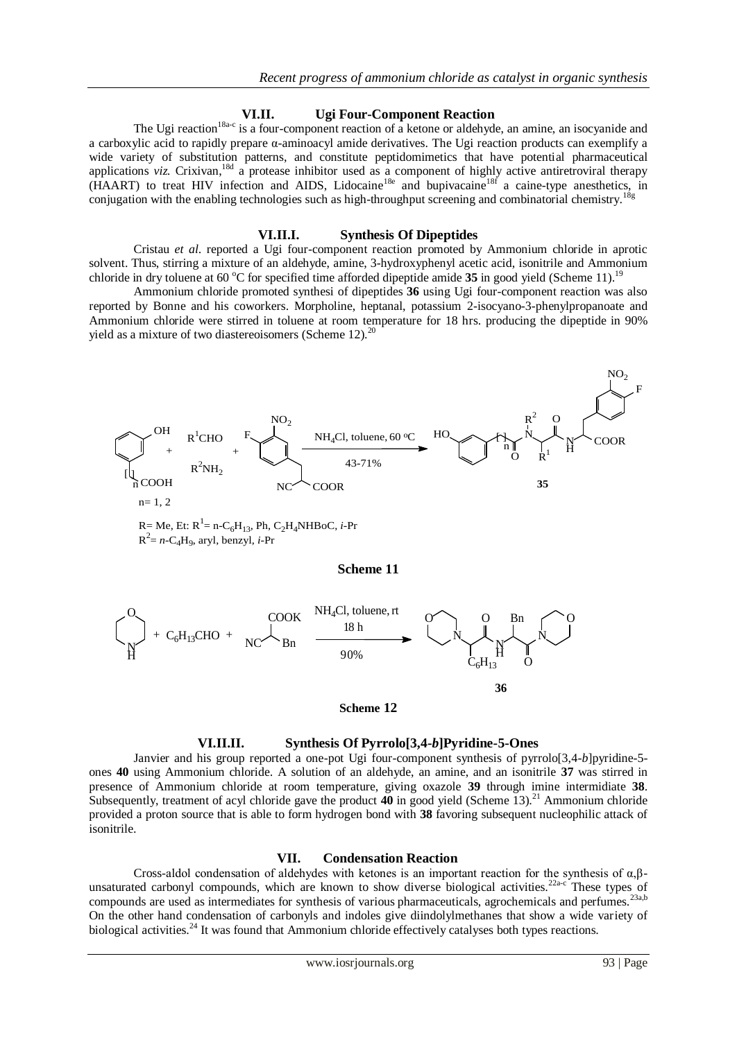## **VI.II. Ugi Four-Component Reaction**

The Ugi reaction<sup>18a-c</sup> is a four-component reaction of a ketone or aldehyde, an amine, an isocyanide and a carboxylic acid to rapidly prepare α-aminoacyl amide derivatives. The Ugi reaction products can exemplify a wide variety of substitution patterns, and constitute peptidomimetics that have potential pharmaceutical applications viz. Crixivan,<sup>18d</sup> a protease inhibitor used as a component of highly active antiretroviral therapy (HAART) to treat HIV infection and AIDS, Lidocaine<sup>18e</sup> and bupivacaine<sup>18f</sup> a caine-type anesthetics, in conjugation with the enabling technologies such as high-throughput screening and combinatorial chemistry.<sup>18g</sup>

#### **VI.II.I. Synthesis Of Dipeptides**

Cristau *et al*. reported a Ugi four-component reaction promoted by Ammonium chloride in aprotic solvent. Thus, stirring a mixture of an aldehyde, amine, 3-hydroxyphenyl acetic acid, isonitrile and Ammonium chloride in dry toluene at 60 °C for specified time afforded dipeptide amide 35 in good yield (Scheme 11).<sup>19</sup>

Ammonium chloride promoted synthesi of dipeptides **36** using Ugi four-component reaction was also reported by Bonne and his coworkers. Morpholine, heptanal, potassium 2-isocyano-3-phenylpropanoate and Ammonium chloride were stirred in toluene at room temperature for 18 hrs. producing the dipeptide in 90% yield as a mixture of two diastereoisomers (Scheme 12). $^{20}$ 



 $R^2 = n - C_4H_9$ , aryl, benzyl, *i*-Pr

#### **Scheme 11**



#### **Scheme 12**

## **VI.II.II. Synthesis Of Pyrrolo[3,4-***b***]Pyridine-5-Ones**

Janvier and his group reported a one-pot Ugi four-component synthesis of pyrrolo[3,4-*b*]pyridine-5 ones **40** using Ammonium chloride. A solution of an aldehyde, an amine, and an isonitrile **37** was stirred in presence of Ammonium chloride at room temperature, giving oxazole **39** through imine intermidiate **38**. Subsequently, treatment of acyl chloride gave the product **40** in good yield (Scheme 13).<sup>21</sup> Ammonium chloride provided a proton source that is able to form hydrogen bond with **38** favoring subsequent nucleophilic attack of isonitrile.

#### **VII. Condensation Reaction**

Cross-aldol condensation of aldehydes with ketones is an important reaction for the synthesis of α,βunsaturated carbonyl compounds, which are known to show diverse biological activities.<sup>22a-c</sup> These types of compounds are used as intermediates for synthesis of various pharmaceuticals, agrochemicals and perfumes.<sup>23a,b</sup> On the other hand condensation of carbonyls and indoles give diindolylmethanes that show a wide variety of biological activities.<sup>24</sup> It was found that Ammonium chloride effectively catalyses both types reactions.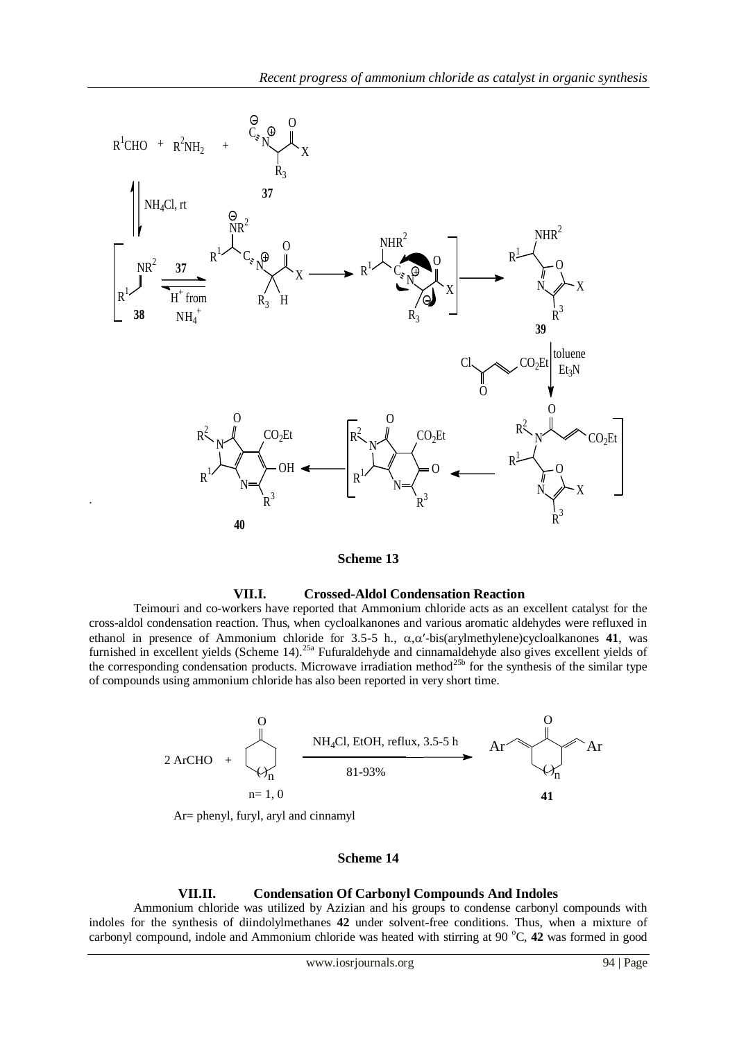

**Scheme 13**

## **VII.I. Crossed-Aldol Condensation Reaction**

Teimouri and co-workers have reported that Ammonium chloride acts as an excellent catalyst for the cross-aldol condensation reaction. Thus, when cycloalkanones and various aromatic aldehydes were refluxed in ethanol in presence of Ammonium chloride for 3.5-5 h.,  $\alpha, \alpha'$ -bis(arylmethylene)cycloalkanones **41**, was furnished in excellent yields (Scheme 14).<sup>25a</sup> Fufuraldehyde and cinnamaldehyde also gives excellent yields of the corresponding condensation products. Microwave irradiation method<sup>25b</sup> for the synthesis of the similar type of compounds using ammonium chloride has also been reported in very short time.



## **Scheme 14**

## **VII.II. Condensation Of Carbonyl Compounds And Indoles**

Ammonium chloride was utilized by Azizian and his groups to condense carbonyl compounds with indoles for the synthesis of diindolylmethanes **42** under solvent**-**free conditions. Thus, when a mixture of carbonyl compound, indole and Ammonium chloride was heated with stirring at 90 °C, 42 was formed in good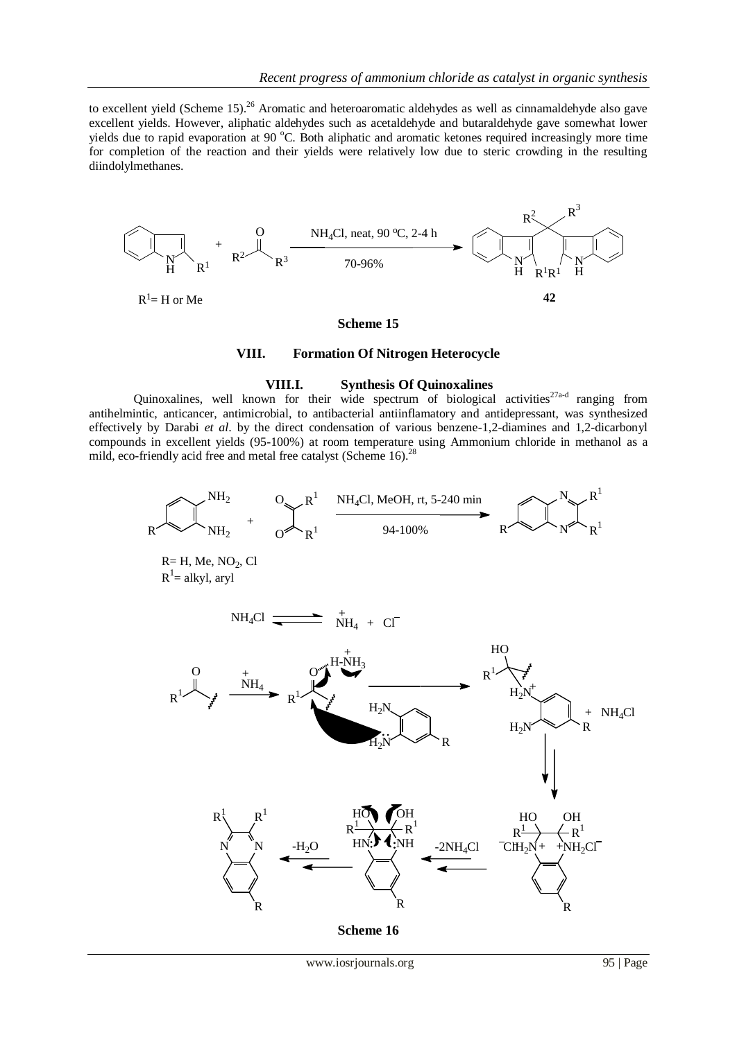to excellent yield (Scheme 15).<sup>26</sup> Aromatic and heteroaromatic aldehydes as well as cinnamaldehyde also gave excellent yields. However, aliphatic aldehydes such as acetaldehyde and butaraldehyde gave somewhat lower yields due to rapid evaporation at 90 °C. Both aliphatic and aromatic ketones required increasingly more time for completion of the reaction and their yields were relatively low due to steric crowding in the resulting diindolylmethanes.



#### **VIII. Formation Of Nitrogen Heterocycle**

#### **VIII.I. Synthesis Of Quinoxalines**

Quinoxalines, well known for their wide spectrum of biological activities<sup>27a-d</sup> ranging from antihelmintic, anticancer, antimicrobial, to antibacterial antiinflamatory and antidepressant, was synthesized effectively by Darabi *et al*. by the direct condensation of various benzene-1,2-diamines and 1,2-dicarbonyl compounds in excellent yields (95-100%) at room temperature using Ammonium chloride in methanol as a mild, eco-friendly acid free and metal free catalyst (Scheme 16).<sup>28</sup>



 $R=$  H, Me, NO<sub>2</sub>, Cl  $R^1$ = alkyl, aryl

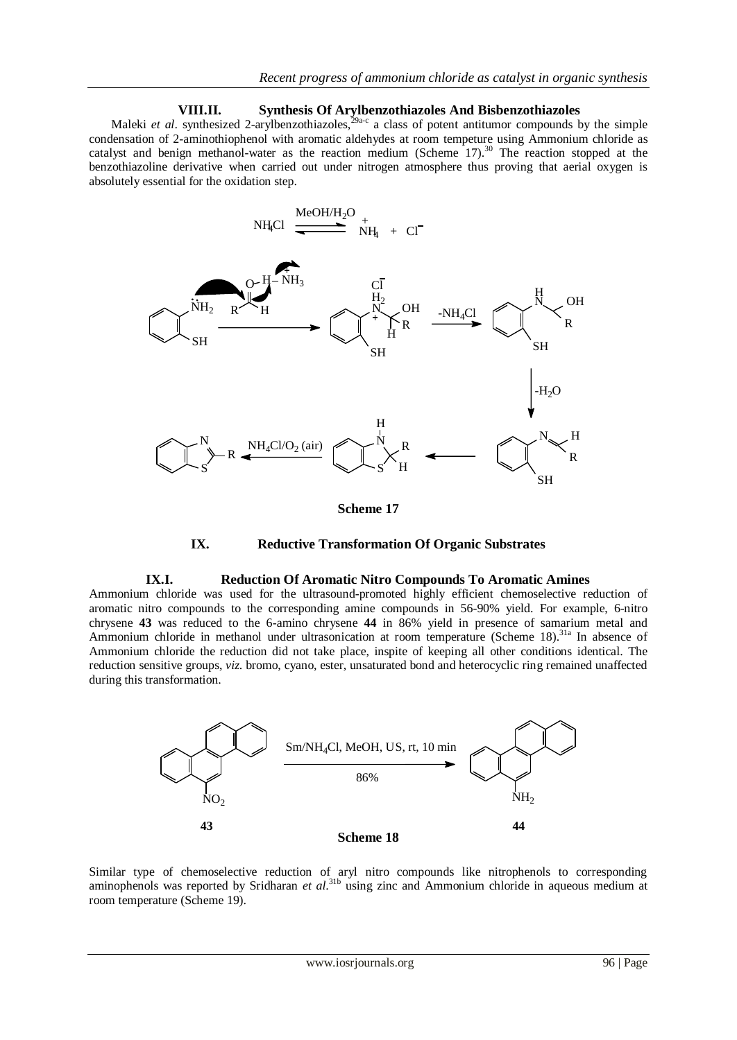## **VIII.II. Synthesis Of Arylbenzothiazoles And Bisbenzothiazoles**

Maleki *et al.* synthesized 2-arylbenzothiazoles,  $29a-c$  a class of potent antitumor compounds by the simple condensation of 2-aminothiophenol with aromatic aldehydes at room tempeture using Ammonium chloride as catalyst and benign methanol-water as the reaction medium (Scheme 17).<sup>30</sup> The reaction stopped at the benzothiazoline derivative when carried out under nitrogen atmosphere thus proving that aerial oxygen is absolutely essential for the oxidation step.



**Scheme 17**



#### **IX.I. Reduction Of Aromatic Nitro Compounds To Aromatic Amines**

Ammonium chloride was used for the ultrasound-promoted highly efficient chemoselective reduction of aromatic nitro compounds to the corresponding amine compounds in 56-90% yield. For example, 6-nitro chrysene **43** was reduced to the 6-amino chrysene **44** in 86% yield in presence of samarium metal and Ammonium chloride in methanol under ultrasonication at room temperature (Scheme 18).<sup>31a</sup> In absence of Ammonium chloride the reduction did not take place, inspite of keeping all other conditions identical. The reduction sensitive groups, *viz*. bromo, cyano, ester, unsaturated bond and heterocyclic ring remained unaffected during this transformation.



Similar type of chemoselective reduction of aryl nitro compounds like nitrophenols to corresponding aminophenols was reported by Sridharan *et al.*<sup>31b</sup> using zinc and Ammonium chloride in aqueous medium at room temperature (Scheme 19).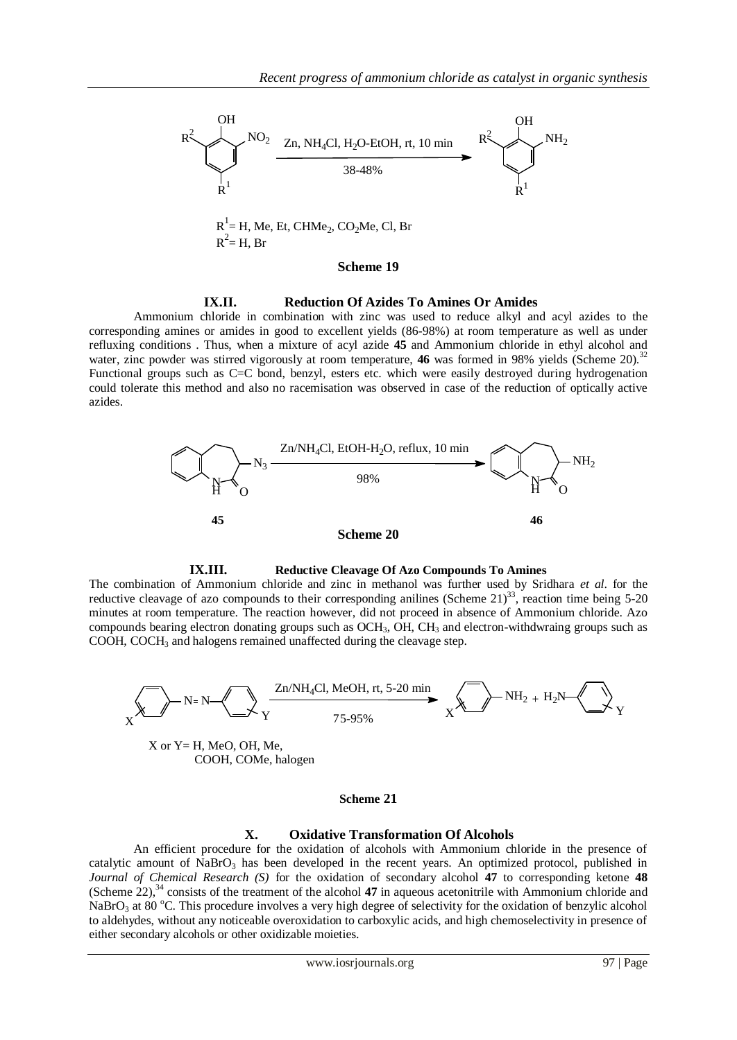

#### **IX.II. Reduction Of Azides To Amines Or Amides**

Ammonium chloride in combination with zinc was used to reduce alkyl and acyl azides to the corresponding amines or amides in good to excellent yields (86-98%) at room temperature as well as under refluxing conditions . Thus, when a mixture of acyl azide **45** and Ammonium chloride in ethyl alcohol and water, zinc powder was stirred vigorously at room temperature, **46** was formed in 98% yields (Scheme 20).<sup>32</sup> Functional groups such as C=C bond, benzyl, esters etc. which were easily destroyed during hydrogenation could tolerate this method and also no racemisation was observed in case of the reduction of optically active azides.





The combination of Ammonium chloride and zinc in methanol was further used by Sridhara *et al*. for the reductive cleavage of azo compounds to their corresponding anilines (Scheme  $21<sup>33</sup>$ , reaction time being 5-20 minutes at room temperature. The reaction however, did not proceed in absence of Ammonium chloride. Azo compounds bearing electron donating groups such as  $OCH_3$ ,  $OH$ ,  $CH_3$  and electron-withdwraing groups such as COOH, COCH<sup>3</sup> and halogens remained unaffected during the cleavage step.



#### **Scheme 21**

#### **X. Oxidative Transformation Of Alcohols**

An efficient procedure for the oxidation of alcohols with Ammonium chloride in the presence of catalytic amount of  $NaBrO<sub>3</sub>$  has been developed in the recent years. An optimized protocol, published in *Journal of Chemical Research (S)* for the oxidation of secondary alcohol **47** to corresponding ketone **48** (Scheme 22),<sup>34</sup> consists of the treatment of the alcohol **47** in aqueous acetonitrile with Ammonium chloride and NaBrO<sub>3</sub> at 80 °C. This procedure involves a very high degree of selectivity for the oxidation of benzylic alcohol to aldehydes, without any noticeable overoxidation to carboxylic acids, and high chemoselectivity in presence of either secondary alcohols or other oxidizable moieties.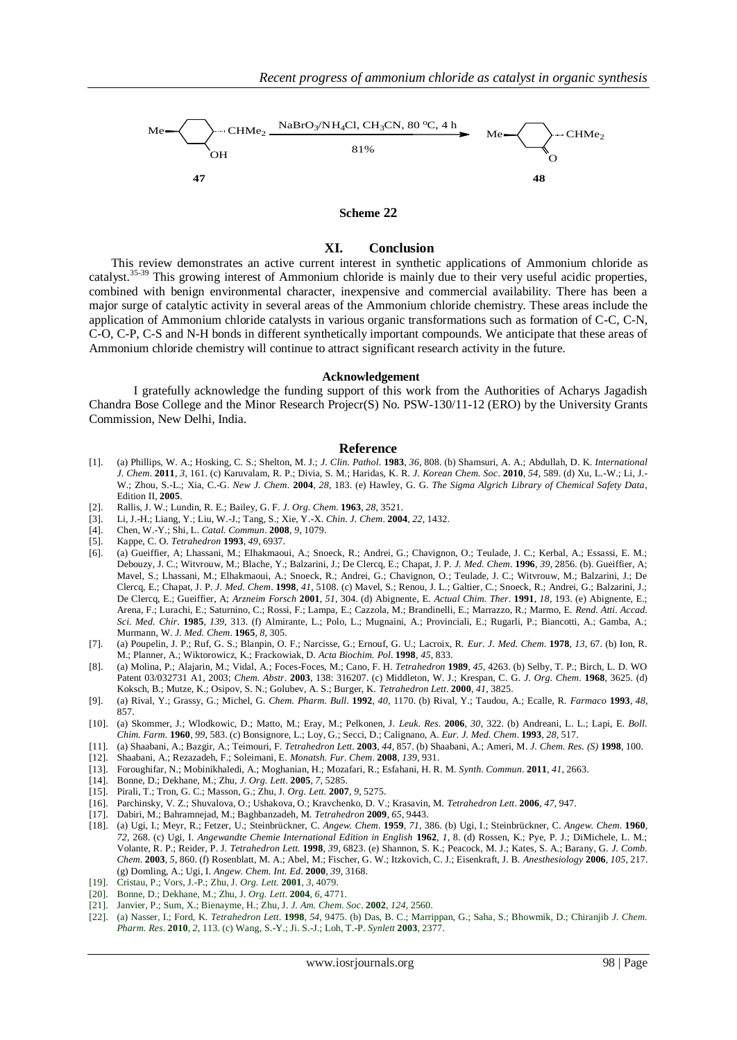

#### **Scheme 22**

## **XI. Conclusion**

CHMe<sub>2</sub>, **CHOCOVERGING, CHOCOVERGING, CHOCOVERGING**<br>
Sing<br>
Sing<br>
Sing<br>
Sing<br>
Sing<br>
Sing<br>
Sing<br>
Sing<br>
Sing<br>
Sing<br>
CHOCOSIDE and  $\mathbf{B}$  CHOCOSIDE and  $\mathbf{B}$  CHOCOSIDE and<br>
Sing and contract interest in symptoms in Anton This review demonstrates an active current interest in synthetic applications of Ammonium chloride as catalyst.<sup>35-39</sup> This growing interest of Ammonium chloride is mainly due to their very useful acidic properties, combined with benign environmental character, inexpensive and commercial availability. There has been a major surge of catalytic activity in several areas of the Ammonium chloride chemistry. These areas include the application of Ammonium chloride catalysts in various organic transformations such as formation of C-C, C-N, C-O, C-P, C-S and N-H bonds in different synthetically important compounds. We anticipate that these areas of Ammonium chloride chemistry will continue to attract significant research activity in the future.

#### **Acknowledgement**

I gratefully acknowledge the funding support of this work from the Authorities of Acharys Jagadish Chandra Bose College and the Minor Research Projecr(S) No. PSW-130/11-12 (ERO) by the University Grants Commission, New Delhi, India.

#### **Reference**

- [1]. (a) Phillips, W. A.; Hosking, C. S.; Shelton, M. J.; *J. Clin. Pathol*. **1983**, *36*, 808. (b) Shamsuri, A. A.; Abdullah, D. K. *International J. Chem*. **2011**, *3*, 161. (c) Karuvalam, R. P.; Divia, S. M.; Haridas, K. R. *J. Korean Chem. Soc*. **2010**, *54*, 589. (d) Xu, L.-W.; Li, J.- W.; Zhou, S.-L.; Xia, C.-G. *New J. Chem*. **2004**, *28*, 183. (e) Hawley, G. G. *The Sigma Algrich Library of Chemical Safety Data*, Edition II, **2005**.
- [2]. Rallis, J. W.; Lundin, R. E.; Bailey, G. F. *J. Org. Chem*. **1963**, *28*, 3521.
- [3]. Li, J.-H.; Liang, Y.; Liu, W.-J.; Tang, S.; Xie, Y.-X. *Chin. J. Chem*. **2004**, *22*, 1432.
- [4]. Chen, W.-Y.; Shi, L. *Catal. Commun*. **2008**, *9*, 1079.
- [5]. Kappe, C. O. *Tetrahedron* **1993**, *49*, 6937.
- [6]. (a) Gueiffier, A; Lhassani, M.; Elhakmaoui, A.; Snoeck, R.; Andrei, G.; Chavignon, O.; Teulade, J. C.; Kerbal, A.; Essassi, E. M.; Debouzy, J. C.; Witvrouw, M.; Blache, Y.; Balzarini, J.; De Clercq, E.; Chapat, J. P. *J. Med. Chem*. **1996**, *39*, 2856. (b). Gueiffier, A; Mavel, S.; Lhassani, M.; Elhakmaoui, A.; Snoeck, R.; Andrei, G.; Chavignon, O.; Teulade, J. C.; Witvrouw, M.; Balzarini, J.; De Clercq, E.; Chapat, J. P. *J. Med. Chem*. **1998**, *41*, 5108. (c) Mavel, S.; Renou, J. L.; Galtier, C.; Snoeck, R.; Andrei, G.; Balzarini, J.; De Clercq, E.; Gueiffier, A; *Arzneim Forsch* **2001**, *51*, 304. (d) Abignente, E. *Actual Chim. Ther*. **1991**, *18*, 193. (e) Abignente, E.; Arena, F.; Lurachi, E.; Saturnino, C.; Rossi, F.; Lampa, E.; Cazzola, M.; Brandinelli, E.; Marrazzo, R.; Marmo, E. *Rend. Atti. Accad. Sci. Med. Chir*. **1985**, *139*, 313. (f) Almirante, L.; Polo, L.; Mugnaini, A.; Provinciali, E.; Rugarli, P.; Biancotti, A.; Gamba, A.; Murmann, W. *J. Med. Chem*. **1965**, *8*, 305.
- [7]. (a) Poupelin, J. P.; Ruf, G. S.; Blanpin, O. F.; Narcisse, G.; Ernouf, G. U.; Lacroix, R. *Eur. J*. *Med. Chem*. **1978**, *13*, 67. (b) Ion, R. M.; Planner, A.; Wiktorowicz, K.; Frackowiak, D. *Acta Biochim. Pol*. **1998**, *45*, 833.
- [8]. (a) Molina, P.; Alajarin, M.; Vidal, A.; Foces-Foces, M.; Cano, F. H. *Tetrahedron* **1989**, *45*, 4263. (b) Selby, T. P.; Birch, L. D. WO Patent 03/032731 A1, 2003; *Chem. Abstr*. **2003**, 138: 316207. (c) Middleton, W. J.; Krespan, C. G. *J. Org. Chem*. **1968**, 3625. (d) Koksch, B.; Mutze, K.; Osipov, S. N.; Golubev, A. S.; Burger, K. *Tetrahedron Lett*. **2000**, *41*, 3825.
- [9]. (a) Rival, Y.; Grassy, G.; Michel, G. *Chem. Pharm. Bull*. **1992**, *40*, 1170. (b) Rival, Y.; Taudou, A.; Ecalle, R. *Farmaco* **1993**, *48*, 857.
- [10]. (a) Skommer, J.; Wlodkowic, D.; Matto, M.; Eray, M.; Pelkonen, J. *Leuk. Res*. **2006**, *30*, 322. (b) Andreani, L. L.; Lapi, E. *Boll. Chim. Farm*. **1960**, *99*, 583. (c) Bonsignore, L.; Loy, G.; Secci, D.; Calignano, A. *Eur. J. Med. Chem*. **1993**, *28*, 517.
- [11]. (a) Shaabani, A.; Bazgir, A.; Teimouri, F. *Tetrahedron Lett*. **2003**, *44*, 857. (b) Shaabani, A.; Ameri, M. *J. Chem. Res. (S)* **1998**, 100.
- [12]. Shaabani, A.; Rezazadeh, F.; Soleimani, E. *Monatsh. Fur. Chem*. **2008**, *139*, 931.
- [13]. Foroughifar, N.; Mobinikhaledi, A.; Moghanian, H.; Mozafari, R.; Esfahani, H. R. M. *Synth. Commun*. **2011**, *41*, 2663.
- [14]. Bonne, D.; Dekhane, M.; Zhu, *J. Org. Lett*. **2005**, *7*, 5285.
- [15]. Pirali, T.; Tron, G. C.; Masson, G.; Zhu, J*. Org. Lett.* **2007**, *9*, 5275.
- [16]. Parchinsky, V. Z.; Shuvalova, O.; Ushakova, O.; Kravchenko, D. V.; Krasavin, M. *Tetrahedron Lett*. **2006**, *47*, 947.
- [17]. Dabiri, M.; Bahramnejad, M.; Baghbanzadeh, M. *Tetrahedron* **2009**, *65*, 9443. [18]. (a) Ugi, I.; Meyr, R.; Fetzer, U.; Steinbrückner, C. *Angew. Chem*. **1959**, *71*, 386. (b) Ugi, I.; Steinbrückner, C. *Angew. Chem*. **1960**, *72*, 268. (c) Ugi, I. *Angewandte Chemie International Edition in English* **1962**, *1*, 8. (d) Rossen, K.; Pye, P. J.; DiMichele, L. M.; Volante, R. P.; Reider, P. J. *Tetrahedron Lett.* **1998**, *39*, 6823. (e) Shannon, S. K.; Peacock, M. J.; Kates, S. A.; Barany, G. *J. Comb. Chem*. **2003**, *5*, 860. (f) Rosenblatt, M. A.; Abel, M.; Fischer, G. W.; Itzkovich, C. J.; Eisenkraft, J. B. *Anesthesiology* **2006**, *105*, 217. (g) Domling, A.; Ugi, I. *Angew. Chem. Int. Ed*. **2000**, *39*, 3168.
- [19]. Cristau, P.; Vors, J.-P.; Zhu, J. *Org. Lett.* **2001**, *3*, 4079.
- [20]. Bonne, D.; Dekhane, M.; Zhu, J. *Org. Lett*. **2004**, *6*, 4771.
- [21]. Janvier, P.; Sum, X.; Bienayme, H.; Zhu, J. *J. Am. Chem. Soc*. **2002**, *124*, 2560.
- [22]. (a) Nasser, I.; Ford, K. *Tetrahedron Lett*. **1998**, *54*, 9475. (b) Das, B. C.; Marrippan, G.; Saha, S.; Bhowmik, D.; Chiranjib *J. Chem. Pharm. Res*. **2010**, *2*, 113. (c) Wang, S.-Y.; Ji. S.-J.; Loh, T.-P. *Synlett* **2003**, 2377.